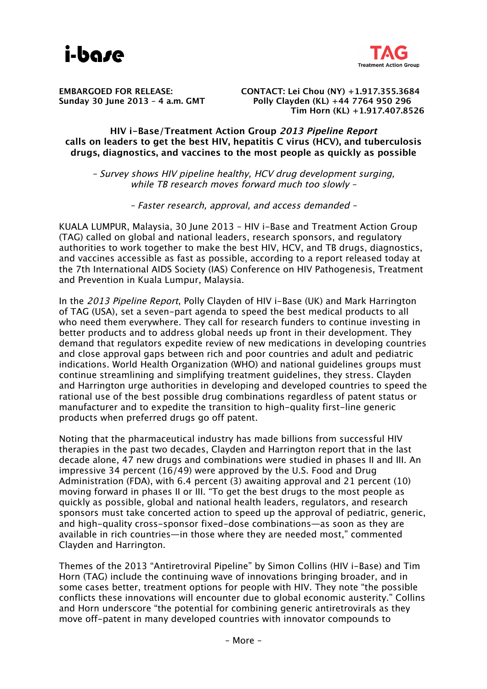



**EMBARGOED FOR RELEASE: CONTACT: Lei Chou (NY) +1.917.355.3684 Sunday 30 June 2013 – 4 a.m. GMT Polly Clayden (KL) +44 7764 950 296 Tim Horn (KL) +1.917.407.8526**

**HIV i-Base/Treatment Action Group 2013 Pipeline Report calls on leaders to get the best HIV, hepatitis C virus (HCV), and tuberculosis drugs, diagnostics, and vaccines to the most people as quickly as possible**

– Survey shows HIV pipeline healthy, HCV drug development surging, while TB research moves forward much too slowly –

– Faster research, approval, and access demanded –

KUALA LUMPUR, Malaysia, 30 June 2013 – HIV i-Base and Treatment Action Group (TAG) called on global and national leaders, research sponsors, and regulatory authorities to work together to make the best HIV, HCV, and TB drugs, diagnostics, and vaccines accessible as fast as possible, according to a report released today at the 7th International AIDS Society (IAS) Conference on HIV Pathogenesis, Treatment and Prevention in Kuala Lumpur, Malaysia.

In the 2013 Pipeline Report, Polly Clayden of HIV i-Base (UK) and Mark Harrington of TAG (USA), set a seven-part agenda to speed the best medical products to all who need them everywhere. They call for research funders to continue investing in better products and to address global needs up front in their development. They demand that regulators expedite review of new medications in developing countries and close approval gaps between rich and poor countries and adult and pediatric indications. World Health Organization (WHO) and national guidelines groups must continue streamlining and simplifying treatment guidelines, they stress. Clayden and Harrington urge authorities in developing and developed countries to speed the rational use of the best possible drug combinations regardless of patent status or manufacturer and to expedite the transition to high-quality first-line generic products when preferred drugs go off patent.

Noting that the pharmaceutical industry has made billions from successful HIV therapies in the past two decades, Clayden and Harrington report that in the last decade alone, 47 new drugs and combinations were studied in phases II and III. An impressive 34 percent (16/49) were approved by the U.S. Food and Drug Administration (FDA), with 6.4 percent (3) awaiting approval and 21 percent (10) moving forward in phases II or III. "To get the best drugs to the most people as quickly as possible, global and national health leaders, regulators, and research sponsors must take concerted action to speed up the approval of pediatric, generic, and high-quality cross-sponsor fixed-dose combinations—as soon as they are available in rich countries—in those where they are needed most," commented Clayden and Harrington.

Themes of the 2013 "Antiretroviral Pipeline" by Simon Collins (HIV i-Base) and Tim Horn (TAG) include the continuing wave of innovations bringing broader, and in some cases better, treatment options for people with HIV. They note "the possible conflicts these innovations will encounter due to global economic austerity." Collins and Horn underscore "the potential for combining generic antiretrovirals as they move off-patent in many developed countries with innovator compounds to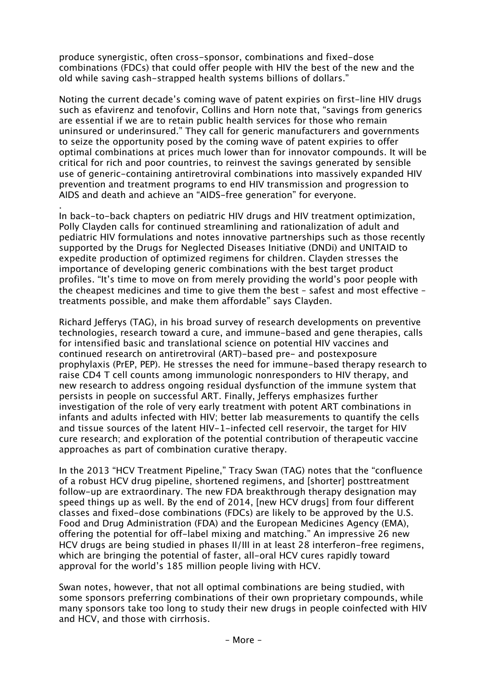produce synergistic, often cross-sponsor, combinations and fixed-dose combinations (FDCs) that could offer people with HIV the best of the new and the old while saving cash-strapped health systems billions of dollars."

Noting the current decade's coming wave of patent expiries on first-line HIV drugs such as efavirenz and tenofovir, Collins and Horn note that, "savings from generics are essential if we are to retain public health services for those who remain uninsured or underinsured." They call for generic manufacturers and governments to seize the opportunity posed by the coming wave of patent expiries to offer optimal combinations at prices much lower than for innovator compounds. It will be critical for rich and poor countries, to reinvest the savings generated by sensible use of generic-containing antiretroviral combinations into massively expanded HIV prevention and treatment programs to end HIV transmission and progression to AIDS and death and achieve an "AIDS-free generation" for everyone.

. In back-to-back chapters on pediatric HIV drugs and HIV treatment optimization, Polly Clayden calls for continued streamlining and rationalization of adult and pediatric HIV formulations and notes innovative partnerships such as those recently supported by the Drugs for Neglected Diseases Initiative (DNDi) and UNITAID to expedite production of optimized regimens for children. Clayden stresses the importance of developing generic combinations with the best target product profiles. "It's time to move on from merely providing the world's poor people with the cheapest medicines and time to give them the best – safest and most effective – treatments possible, and make them affordable" says Clayden.

Richard Jefferys (TAG), in his broad survey of research developments on preventive technologies, research toward a cure, and immune-based and gene therapies, calls for intensified basic and translational science on potential HIV vaccines and continued research on antiretroviral (ART)-based pre- and postexposure prophylaxis (PrEP, PEP). He stresses the need for immune-based therapy research to raise CD4 T cell counts among immunologic nonresponders to HIV therapy, and new research to address ongoing residual dysfunction of the immune system that persists in people on successful ART. Finally, Jefferys emphasizes further investigation of the role of very early treatment with potent ART combinations in infants and adults infected with HIV; better lab measurements to quantify the cells and tissue sources of the latent HIV-1-infected cell reservoir, the target for HIV cure research; and exploration of the potential contribution of therapeutic vaccine approaches as part of combination curative therapy.

In the 2013 "HCV Treatment Pipeline," Tracy Swan (TAG) notes that the "confluence of a robust HCV drug pipeline, shortened regimens, and [shorter] posttreatment follow-up are extraordinary. The new FDA breakthrough therapy designation may speed things up as well. By the end of 2014, [new HCV drugs] from four different classes and fixed-dose combinations (FDCs) are likely to be approved by the U.S. Food and Drug Administration (FDA) and the European Medicines Agency (EMA), offering the potential for off-label mixing and matching." An impressive 26 new HCV drugs are being studied in phases II/III in at least 28 interferon-free regimens, which are bringing the potential of faster, all-oral HCV cures rapidly toward approval for the world's 185 million people living with HCV.

Swan notes, however, that not all optimal combinations are being studied, with some sponsors preferring combinations of their own proprietary compounds, while many sponsors take too long to study their new drugs in people coinfected with HIV and HCV, and those with cirrhosis.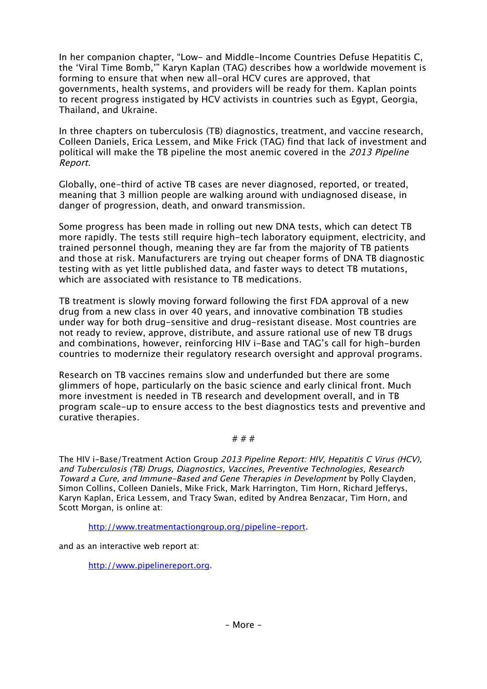In her companion chapter, "Low- and Middle-Income Countries Defuse Hepatitis C, the 'Viral Time Bomb,'" Karyn Kaplan (TAG) describes how a worldwide movement is forming to ensure that when new all-oral HCV cures are approved, that governments, health systems, and providers will be ready for them. Kaplan points to recent progress instigated by HCV activists in countries such as Egypt, Georgia, Thailand, and Ukraine.

In three chapters on tuberculosis (TB) diagnostics, treatment, and vaccine research, Colleen Daniels, Erica Lessem, and Mike Frick (TAG) find that lack of investment and political will make the TB pipeline the most anemic covered in the 2013 Pipeline Report.

Globally, one-third of active TB cases are never diagnosed, reported, or treated, meaning that 3 million people are walking around with undiagnosed disease, in danger of progression, death, and onward transmission.

Some progress has been made in rolling out new DNA tests, which can detect TB more rapidly. The tests still require high-tech laboratory equipment, electricity, and trained personnel though, meaning they are far from the majority of TB patients and those at risk. Manufacturers are trying out cheaper forms of DNA TB diagnostic testing with as yet little published data, and faster ways to detect TB mutations, which are associated with resistance to TB medications.

TB treatment is slowly moving forward following the first FDA approval of a new drug from a new class in over 40 years, and innovative combination TB studies under way for both drug-sensitive and drug-resistant disease. Most countries are not ready to review, approve, distribute, and assure rational use of new TB drugs and combinations, however, reinforcing HIV i-Base and TAG's call for high-burden countries to modernize their regulatory research oversight and approval programs.

Research on TB vaccines remains slow and underfunded but there are some glimmers of hope, particularly on the basic science and early clinical front. Much more investment is needed in TB research and development overall, and in TB program scale-up to ensure access to the best diagnostics tests and preventive and curative therapies.

## # # #

The HIV i-Base/Treatment Action Group 2013 Pipeline Report: HIV, Hepatitis C Virus (HCV), and Tuberculosis (TB) Drugs, Diagnostics, Vaccines, Preventive Technologies, Research Toward a Cure, and Immune-Based and Gene Therapies in Development by Polly Clayden, Simon Collins, Colleen Daniels, Mike Frick, Mark Harrington, Tim Horn, Richard Jefferys, Karyn Kaplan, Erica Lessem, and Tracy Swan, edited by Andrea Benzacar, Tim Horn, and Scott Morgan, is online at:

http://www.treatmentactiongroup.org/pipeline-report.

and as an interactive web report at:

http://www.pipelinereport.org.